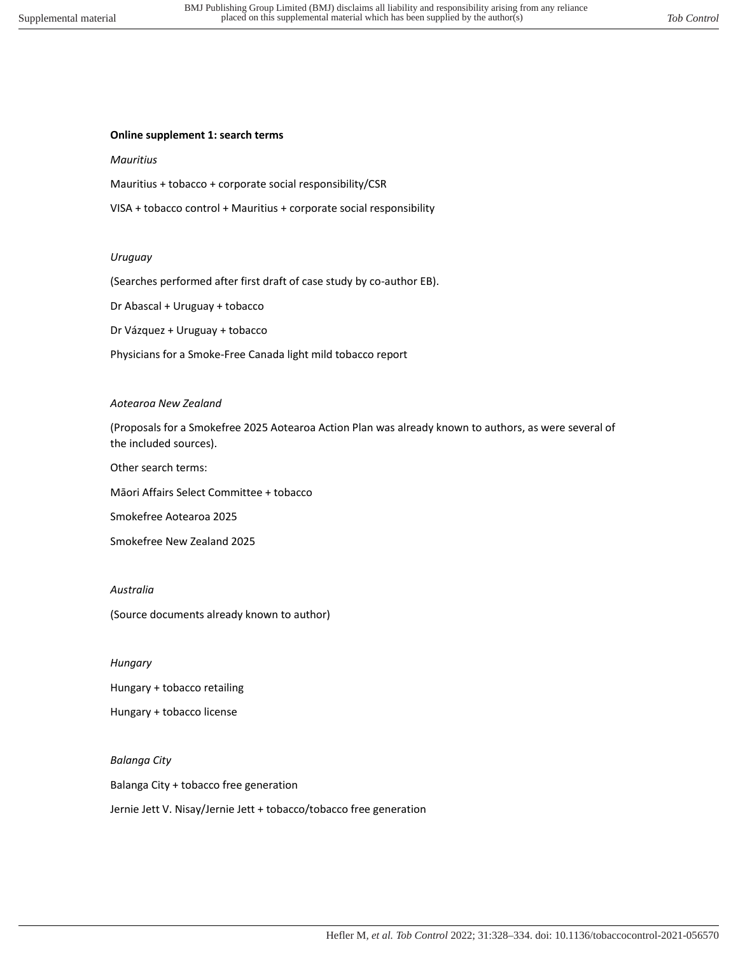# **Online supplement 1: search terms**

## *Mauritius*

Mauritius + tobacco + corporate social responsibility/CSR

VISA + tobacco control + Mauritius + corporate social responsibility

### *Uruguay*

(Searches performed after first draft of case study by co-author EB).

Dr Abascal + Uruguay + tobacco

Dr Vázquez + Uruguay + tobacco

Physicians for a Smoke-Free Canada light mild tobacco report

## *Aotearoa New Zealand*

(Proposals for a Smokefree 2025 Aotearoa Action Plan was already known to authors, as were several of the included sources).

Other search terms:

Māori Affairs Select Committee + tobacco

Smokefree Aotearoa 2025

Smokefree New Zealand 2025

# *Australia*

(Source documents already known to author)

*Hungary* 

Hungary + tobacco retailing

Hungary + tobacco license

*Balanga City* 

Balanga City + tobacco free generation

Jernie Jett V. Nisay/Jernie Jett + tobacco/tobacco free generation